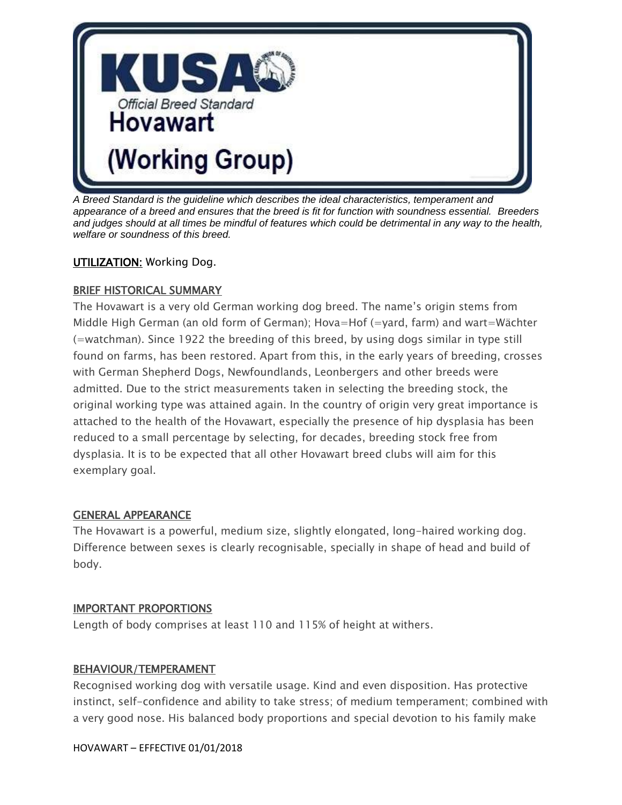

*A Breed Standard is the guideline which describes the ideal characteristics, temperament and appearance of a breed and ensures that the breed is fit for function with soundness essential. Breeders and judges should at all times be mindful of features which could be detrimental in any way to the health, welfare or soundness of this breed.*

### **UTILIZATION: Working Dog.**

#### BRIEF HISTORICAL SUMMARY

The Hovawart is a very old German working dog breed. The name's origin stems from Middle High German (an old form of German); Hova=Hof (=yard, farm) and wart=Wächter (=watchman). Since 1922 the breeding of this breed, by using dogs similar in type still found on farms, has been restored. Apart from this, in the early years of breeding, crosses with German Shepherd Dogs, Newfoundlands, Leonbergers and other breeds were admitted. Due to the strict measurements taken in selecting the breeding stock, the original working type was attained again. In the country of origin very great importance is attached to the health of the Hovawart, especially the presence of hip dysplasia has been reduced to a small percentage by selecting, for decades, breeding stock free from dysplasia. It is to be expected that all other Hovawart breed clubs will aim for this exemplary goal.

#### GENERAL APPEARANCE

The Hovawart is a powerful, medium size, slightly elongated, long-haired working dog. Difference between sexes is clearly recognisable, specially in shape of head and build of body.

#### IMPORTANT PROPORTIONS

Length of body comprises at least 110 and 115% of height at withers.

#### BEHAVIOUR/TEMPERAMENT

Recognised working dog with versatile usage. Kind and even disposition. Has protective instinct, self-confidence and ability to take stress; of medium temperament; combined with a very good nose. His balanced body proportions and special devotion to his family make

#### HOVAWART – EFFECTIVE 01/01/2018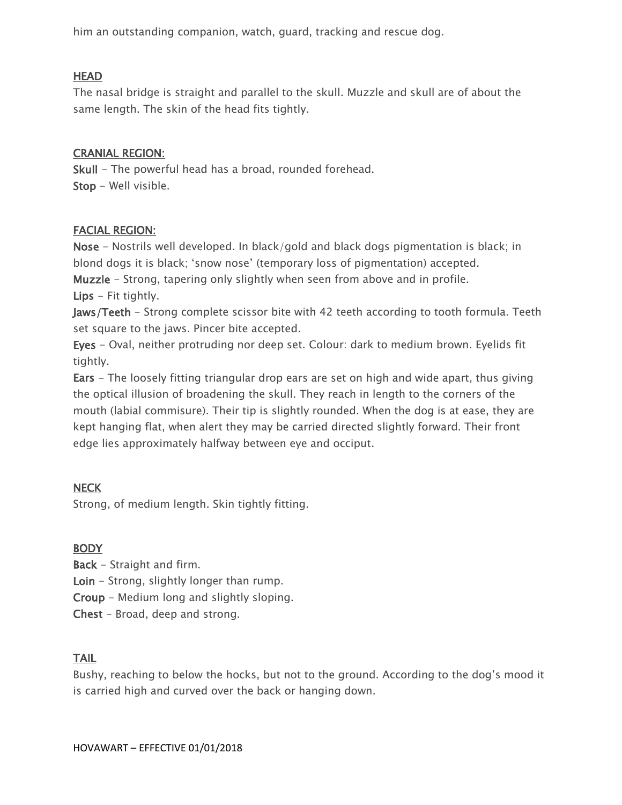him an outstanding companion, watch, guard, tracking and rescue dog.

#### HEAD

The nasal bridge is straight and parallel to the skull. Muzzle and skull are of about the same length. The skin of the head fits tightly.

#### CRANIAL REGION:

Skull - The powerful head has a broad, rounded forehead. Stop - Well visible.

### FACIAL REGION:

Nose - Nostrils well developed. In black/gold and black dogs pigmentation is black; in blond dogs it is black; 'snow nose' (temporary loss of pigmentation) accepted.

Muzzle - Strong, tapering only slightly when seen from above and in profile.

Lips - Fit tightly.

Jaws/Teeth - Strong complete scissor bite with 42 teeth according to tooth formula. Teeth set square to the jaws. Pincer bite accepted.

Eyes - Oval, neither protruding nor deep set. Colour: dark to medium brown. Eyelids fit tightly.

**Ears** - The loosely fitting triangular drop ears are set on high and wide apart, thus giving the optical illusion of broadening the skull. They reach in length to the corners of the mouth (labial commisure). Their tip is slightly rounded. When the dog is at ease, they are kept hanging flat, when alert they may be carried directed slightly forward. Their front edge lies approximately halfway between eye and occiput.

## **NECK**

Strong, of medium length. Skin tightly fitting.

## **BODY**

Back - Straight and firm.

Loin - Strong, slightly longer than rump.

Croup - Medium long and slightly sloping.

Chest - Broad, deep and strong.

## TAIL

Bushy, reaching to below the hocks, but not to the ground. According to the dog's mood it is carried high and curved over the back or hanging down.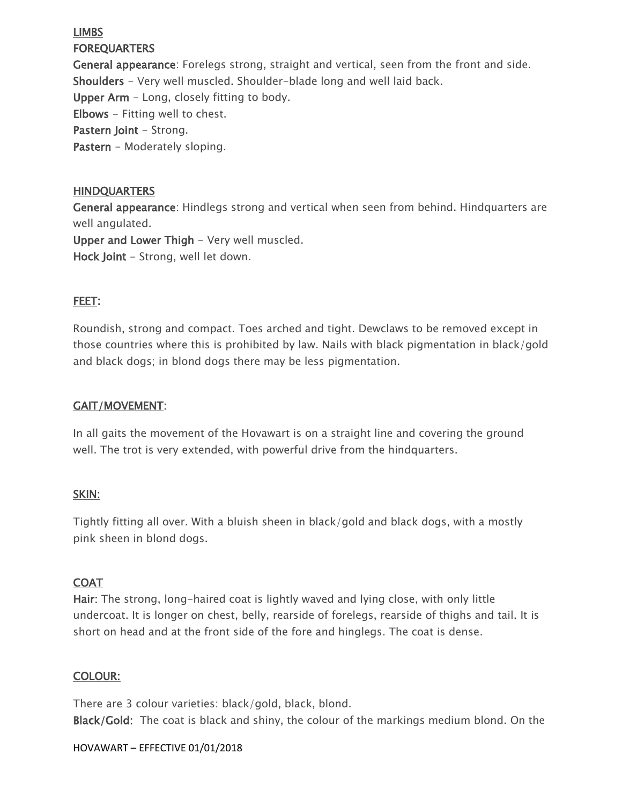## LIMBS **FOREQUARTERS**

General appearance: Forelegs strong, straight and vertical, seen from the front and side. Shoulders - Very well muscled. Shoulder-blade long and well laid back. Upper Arm - Long, closely fitting to body. Elbows - Fitting well to chest. Pastern Joint - Strong. Pastern - Moderately sloping.

### **HINDQUARTERS**

General appearance: Hindlegs strong and vertical when seen from behind. Hindquarters are well angulated.

Upper and Lower Thigh - Very well muscled.

Hock Joint - Strong, well let down.

## FEET:

Roundish, strong and compact. Toes arched and tight. Dewclaws to be removed except in those countries where this is prohibited by law. Nails with black pigmentation in black/gold and black dogs; in blond dogs there may be less pigmentation.

## GAIT/MOVEMENT:

In all gaits the movement of the Hovawart is on a straight line and covering the ground well. The trot is very extended, with powerful drive from the hindquarters.

## SKIN:

Tightly fitting all over. With a bluish sheen in black/gold and black dogs, with a mostly pink sheen in blond dogs.

## **COAT**

Hair: The strong, long-haired coat is lightly waved and lying close, with only little undercoat. It is longer on chest, belly, rearside of forelegs, rearside of thighs and tail. It is short on head and at the front side of the fore and hinglegs. The coat is dense.

## COLOUR:

There are 3 colour varieties: black/gold, black, blond. Black/Gold: The coat is black and shiny, the colour of the markings medium blond. On the

#### HOVAWART – EFFECTIVE 01/01/2018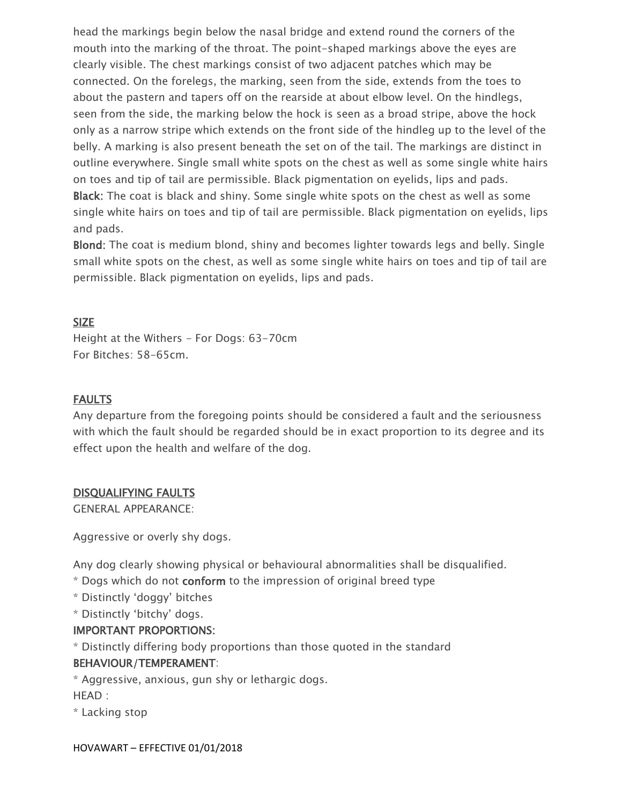head the markings begin below the nasal bridge and extend round the corners of the mouth into the marking of the throat. The point-shaped markings above the eyes are clearly visible. The chest markings consist of two adjacent patches which may be connected. On the forelegs, the marking, seen from the side, extends from the toes to about the pastern and tapers off on the rearside at about elbow level. On the hindlegs, seen from the side, the marking below the hock is seen as a broad stripe, above the hock only as a narrow stripe which extends on the front side of the hindleg up to the level of the belly. A marking is also present beneath the set on of the tail. The markings are distinct in outline everywhere. Single small white spots on the chest as well as some single white hairs on toes and tip of tail are permissible. Black pigmentation on eyelids, lips and pads. Black: The coat is black and shiny. Some single white spots on the chest as well as some single white hairs on toes and tip of tail are permissible. Black pigmentation on eyelids, lips and pads.

Blond: The coat is medium blond, shiny and becomes lighter towards legs and belly. Single small white spots on the chest, as well as some single white hairs on toes and tip of tail are permissible. Black pigmentation on eyelids, lips and pads.

#### SIZE

Height at the Withers - For Dogs: 63-70cm For Bitches: 58-65cm.

## FAULTS

Any departure from the foregoing points should be considered a fault and the seriousness with which the fault should be regarded should be in exact proportion to its degree and its effect upon the health and welfare of the dog.

#### DISQUALIFYING FAULTS

GENERAL APPEARANCE:

Aggressive or overly shy dogs.

Any dog clearly showing physical or behavioural abnormalities shall be disqualified.

- \* Dogs which do not conform to the impression of original breed type
- \* Distinctly 'doggy' bitches
- \* Distinctly 'bitchy' dogs.

#### IMPORTANT PROPORTIONS:

\* Distinctly differing body proportions than those quoted in the standard

#### BEHAVIOUR/TEMPERAMENT:

\* Aggressive, anxious, gun shy or lethargic dogs.

HEAD :

\* Lacking stop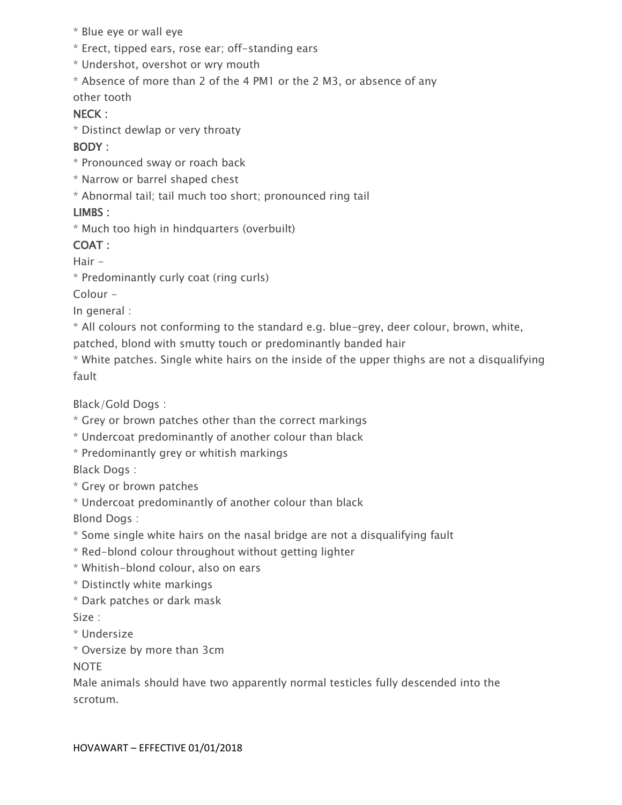- \* Blue eye or wall eye
- \* Erect, tipped ears, rose ear; off-standing ears
- \* Undershot, overshot or wry mouth
- \* Absence of more than 2 of the 4 PM1 or the 2 M3, or absence of any

other tooth

## NECK :

\* Distinct dewlap or very throaty

## BODY :

- \* Pronounced sway or roach back
- \* Narrow or barrel shaped chest
- \* Abnormal tail; tail much too short; pronounced ring tail

## LIMBS :

\* Much too high in hindquarters (overbuilt)

# COAT :

Hair -

\* Predominantly curly coat (ring curls)

Colour -

In general :

- \* All colours not conforming to the standard e.g. blue-grey, deer colour, brown, white,
- patched, blond with smutty touch or predominantly banded hair
- \* White patches. Single white hairs on the inside of the upper thighs are not a disqualifying fault

Black/Gold Dogs :

- \* Grey or brown patches other than the correct markings
- \* Undercoat predominantly of another colour than black
- \* Predominantly grey or whitish markings

Black Dogs :

- \* Grey or brown patches
- \* Undercoat predominantly of another colour than black

Blond Dogs :

- \* Some single white hairs on the nasal bridge are not a disqualifying fault
- \* Red-blond colour throughout without getting lighter
- \* Whitish-blond colour, also on ears
- \* Distinctly white markings
- \* Dark patches or dark mask

Size :

- \* Undersize
- \* Oversize by more than 3cm

**NOTE** 

Male animals should have two apparently normal testicles fully descended into the scrotum.